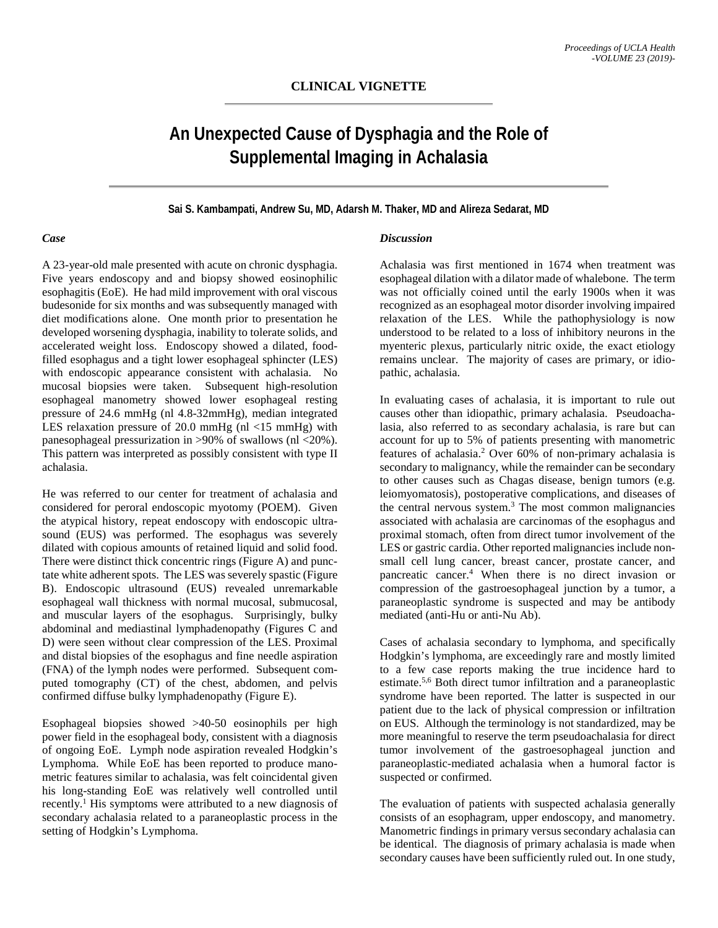# **An Unexpected Cause of Dysphagia and the Role of Supplemental Imaging in Achalasia**

### **Sai S. Kambampati, Andrew Su, MD, Adarsh M. Thaker, MD and Alireza Sedarat, MD**

#### *Case*

A 23-year-old male presented with acute on chronic dysphagia. Five years endoscopy and and biopsy showed eosinophilic esophagitis (EoE). He had mild improvement with oral viscous budesonide for six months and was subsequently managed with diet modifications alone. One month prior to presentation he developed worsening dysphagia, inability to tolerate solids, and accelerated weight loss. Endoscopy showed a dilated, foodfilled esophagus and a tight lower esophageal sphincter (LES) with endoscopic appearance consistent with achalasia. No mucosal biopsies were taken. Subsequent high-resolution esophageal manometry showed lower esophageal resting pressure of 24.6 mmHg (nl 4.8-32mmHg), median integrated LES relaxation pressure of 20.0 mmHg (nl <15 mmHg) with panesophageal pressurization in >90% of swallows (nl <20%). This pattern was interpreted as possibly consistent with type II achalasia.

He was referred to our center for treatment of achalasia and considered for peroral endoscopic myotomy (POEM). Given the atypical history, repeat endoscopy with endoscopic ultrasound (EUS) was performed. The esophagus was severely dilated with copious amounts of retained liquid and solid food. There were distinct thick concentric rings (Figure A) and punctate white adherent spots. The LES was severely spastic (Figure B). Endoscopic ultrasound (EUS) revealed unremarkable esophageal wall thickness with normal mucosal, submucosal, and muscular layers of the esophagus. Surprisingly, bulky abdominal and mediastinal lymphadenopathy (Figures C and D) were seen without clear compression of the LES. Proximal and distal biopsies of the esophagus and fine needle aspiration (FNA) of the lymph nodes were performed. Subsequent computed tomography (CT) of the chest, abdomen, and pelvis confirmed diffuse bulky lymphadenopathy (Figure E).

Esophageal biopsies showed >40-50 eosinophils per high power field in the esophageal body, consistent with a diagnosis of ongoing EoE. Lymph node aspiration revealed Hodgkin's Lymphoma. While EoE has been reported to produce manometric features similar to achalasia, was felt coincidental given his long-standing EoE was relatively well controlled until recently.<sup>1</sup> His symptoms were attributed to a new diagnosis of secondary achalasia related to a paraneoplastic process in the setting of Hodgkin's Lymphoma.

#### *Discussion*

Achalasia was first mentioned in 1674 when treatment was esophageal dilation with a dilator made of whalebone. The term was not officially coined until the early 1900s when it was recognized as an esophageal motor disorder involving impaired relaxation of the LES. While the pathophysiology is now understood to be related to a loss of inhibitory neurons in the myenteric plexus, particularly nitric oxide, the exact etiology remains unclear. The majority of cases are primary, or idiopathic, achalasia.

In evaluating cases of achalasia, it is important to rule out causes other than idiopathic, primary achalasia. Pseudoachalasia, also referred to as secondary achalasia, is rare but can account for up to 5% of patients presenting with manometric features of achalasia.2 Over 60% of non-primary achalasia is secondary to malignancy, while the remainder can be secondary to other causes such as Chagas disease, benign tumors (e.g. leiomyomatosis), postoperative complications, and diseases of the central nervous system.<sup>3</sup> The most common malignancies associated with achalasia are carcinomas of the esophagus and proximal stomach, often from direct tumor involvement of the LES or gastric cardia. Other reported malignancies include nonsmall cell lung cancer, breast cancer, prostate cancer, and pancreatic cancer.4 When there is no direct invasion or compression of the gastroesophageal junction by a tumor, a paraneoplastic syndrome is suspected and may be antibody mediated (anti-Hu or anti-Nu Ab).

Cases of achalasia secondary to lymphoma, and specifically Hodgkin's lymphoma, are exceedingly rare and mostly limited to a few case reports making the true incidence hard to estimate.5,6 Both direct tumor infiltration and a paraneoplastic syndrome have been reported. The latter is suspected in our patient due to the lack of physical compression or infiltration on EUS. Although the terminology is not standardized, may be more meaningful to reserve the term pseudoachalasia for direct tumor involvement of the gastroesophageal junction and paraneoplastic-mediated achalasia when a humoral factor is suspected or confirmed.

The evaluation of patients with suspected achalasia generally consists of an esophagram, upper endoscopy, and manometry. Manometric findings in primary versus secondary achalasia can be identical. The diagnosis of primary achalasia is made when secondary causes have been sufficiently ruled out. In one study,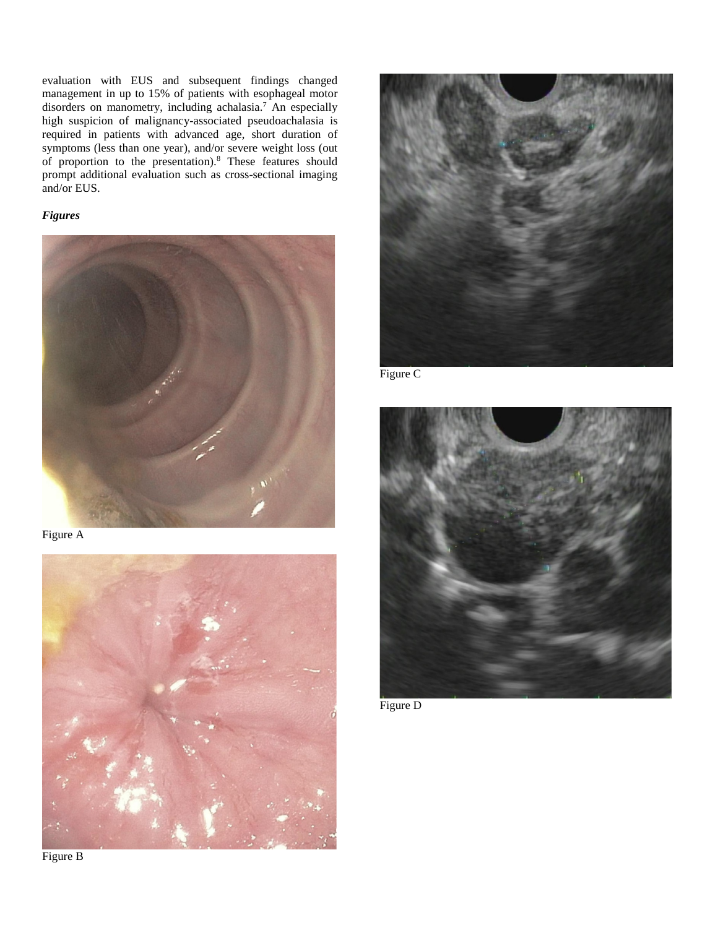evaluation with EUS and subsequent findings changed management in up to 15% of patients with esophageal motor disorders on manometry, including achalasia.<sup>7</sup> An especially high suspicion of malignancy-associated pseudoachalasia is required in patients with advanced age, short duration of symptoms (less than one year), and/or severe weight loss (out of proportion to the presentation).8 These features should prompt additional evaluation such as cross-sectional imaging and/or EUS.

## *Figures*



Figure A





Figure C



Figure D

Figure B